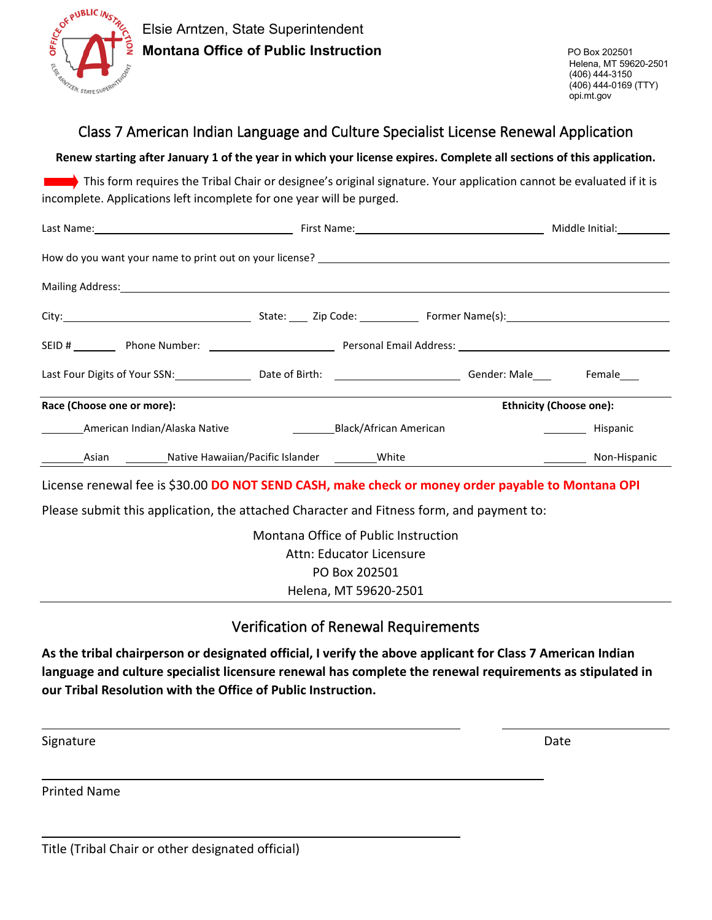

## Class 7 American Indian Language and Culture Specialist License Renewal Application

**Renew starting after January 1 of the year in which your license expires. Complete all sections of this application.**

This form requires the Tribal Chair or designee's original signature. Your application cannot be evaluated if it is incomplete. Applications left incomplete for one year will be purged.

| Last Four Digits of Your SSN: Note to the Offer Director Control of Birth: Nate Control Center: Male Premale Co |                        |              |  |  |  |
|-----------------------------------------------------------------------------------------------------------------|------------------------|--------------|--|--|--|
| Race (Choose one or more):<br><b>Ethnicity (Choose one):</b>                                                    |                        |              |  |  |  |
| American Indian/Alaska Native                                                                                   | Black/African American | Hispanic     |  |  |  |
|                                                                                                                 |                        | Non-Hispanic |  |  |  |

License renewal fee is \$30.00 **DO NOT SEND CASH, make check or money order payable to Montana OPI**

Please submit this application, the attached Character and Fitness form, and payment to:

Montana Office of Public Instruction Attn: Educator Licensure PO Box 202501 Helena, MT 59620-2501

## Verification of Renewal Requirements

**As the tribal chairperson or designated official, I verify the above applicant for Class 7 American Indian language and culture specialist licensure renewal has complete the renewal requirements as stipulated in our Tribal Resolution with the Office of Public Instruction.**

Signature Date Date of the Contract of the Contract of the Contract of the Contract of the Date Date

Printed Name

Title (Tribal Chair or other designated official)